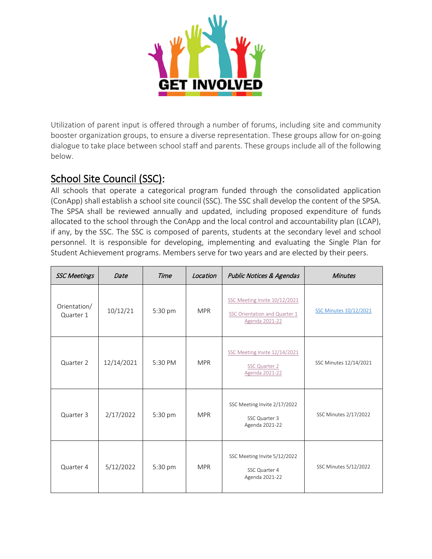

Utilization of parent input is offered through a number of forums, including site and community booster organization groups, to ensure a diverse representation. These groups allow for on-going dialogue to take place between school staff and parents. These groups include all of the following below.

School Site Council (SSC):<br>All schools that operate a categorical program funded through the consolidated application (ConApp) shall establish a school site council (SSC). The SSC shall develop the content of the SPSA. The SPSA shall be reviewed annually and updated, including proposed expenditure of funds allocated to the school through the ConApp and the local control and accountability plan (LCAP), if any, by the SSC. The SSC is composed of parents, students at the secondary level and school personnel. It is responsible for developing, implementing and evaluating the Single Plan for Student Achievement programs. Members serve for two years and are elected by their peers.

| <b>SSC Meetings</b>       | Date       | Time    | Location   | <b>Public Notices &amp; Agendas</b>                                              | <b>Minutes</b>         |
|---------------------------|------------|---------|------------|----------------------------------------------------------------------------------|------------------------|
| Orientation/<br>Quarter 1 | 10/12/21   | 5:30 pm | <b>MPR</b> | SSC Meeting Invite 10/12/2021<br>SSC Orientation and Quarter 1<br>Agenda 2021-22 | SSC Minutes 10/12/2021 |
| Quarter 2                 | 12/14/2021 | 5:30 PM | <b>MPR</b> | SSC Meeting Invite 12/14/2021<br>SSC Quarter 2<br>Agenda 2021-22                 | SSC Minutes 12/14/2021 |
| Quarter 3                 | 2/17/2022  | 5:30 pm | <b>MPR</b> | SSC Meeting Invite 2/17/2022<br>SSC Quarter 3<br>Agenda 2021-22                  | SSC Minutes 2/17/2022  |
| Quarter 4                 | 5/12/2022  | 5:30 pm | <b>MPR</b> | SSC Meeting Invite 5/12/2022<br>SSC Quarter 4<br>Agenda 2021-22                  | SSC Minutes 5/12/2022  |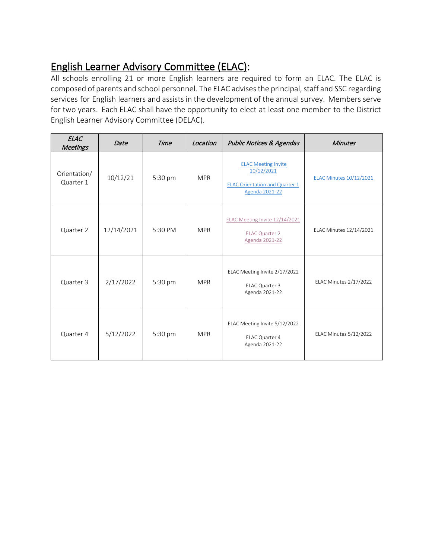English Learner Advisory Committee (ELAC):<br>All schools enrolling 21 or more English learners are required to form an ELAC. The ELAC is composed of parents and school personnel. The ELAC advises the principal, staff and SSC regarding services for English learners and assists in the development of the annual survey. Members serve for two years. Each ELAC shall have the opportunity to elect at least one member to the District English Learner Advisory Committee (DELAC).

| <b>ELAC</b><br><b>Meetings</b> | Date       | <b>Time</b> | Location   | <b>Public Notices &amp; Agendas</b>                                                                 | <b>Minutes</b>                 |
|--------------------------------|------------|-------------|------------|-----------------------------------------------------------------------------------------------------|--------------------------------|
| Orientation/<br>Quarter 1      | 10/12/21   | 5:30 pm     | <b>MPR</b> | <b>ELAC Meeting Invite</b><br>10/12/2021<br><b>ELAC Orientation and Quarter 1</b><br>Agenda 2021-22 | <b>ELAC Minutes 10/12/2021</b> |
| Quarter 2                      | 12/14/2021 | 5:30 PM     | <b>MPR</b> | ELAC Meeting Invite 12/14/2021<br><b>ELAC Quarter 2</b><br>Agenda 2021-22                           | ELAC Minutes 12/14/2021        |
| Quarter 3                      | 2/17/2022  | 5:30 pm     | <b>MPR</b> | ELAC Meeting Invite 2/17/2022<br>ELAC Quarter 3<br>Agenda 2021-22                                   | ELAC Minutes 2/17/2022         |
| Quarter 4                      | 5/12/2022  | 5:30 pm     | <b>MPR</b> | ELAC Meeting Invite 5/12/2022<br>ELAC Quarter 4<br>Agenda 2021-22                                   | ELAC Minutes 5/12/2022         |